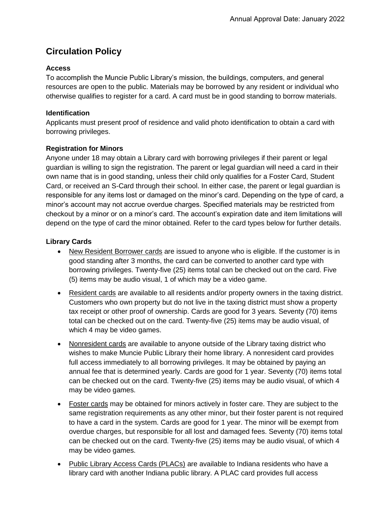# **Circulation Policy**

# **Access**

To accomplish the Muncie Public Library's mission, the buildings, computers, and general resources are open to the public. Materials may be borrowed by any resident or individual who otherwise qualifies to register for a card. A card must be in good standing to borrow materials.

# **Identification**

Applicants must present proof of residence and valid photo identification to obtain a card with borrowing privileges.

# **Registration for Minors**

Anyone under 18 may obtain a Library card with borrowing privileges if their parent or legal guardian is willing to sign the registration. The parent or legal guardian will need a card in their own name that is in good standing, unless their child only qualifies for a Foster Card, Student Card, or received an S-Card through their school. In either case, the parent or legal guardian is responsible for any items lost or damaged on the minor's card. Depending on the type of card, a minor's account may not accrue overdue charges. Specified materials may be restricted from checkout by a minor or on a minor's card. The account's expiration date and item limitations will depend on the type of card the minor obtained. Refer to the card types below for further details.

# **Library Cards**

- New Resident Borrower cards are issued to anyone who is eligible. If the customer is in good standing after 3 months, the card can be converted to another card type with borrowing privileges. Twenty-five (25) items total can be checked out on the card. Five (5) items may be audio visual, 1 of which may be a video game.
- Resident cards are available to all residents and/or property owners in the taxing district. Customers who own property but do not live in the taxing district must show a property tax receipt or other proof of ownership. Cards are good for 3 years. Seventy (70) items total can be checked out on the card. Twenty-five (25) items may be audio visual, of which 4 may be video games.
- Nonresident cards are available to anyone outside of the Library taxing district who wishes to make Muncie Public Library their home library. A nonresident card provides full access immediately to all borrowing privileges. It may be obtained by paying an annual fee that is determined yearly. Cards are good for 1 year. Seventy (70) items total can be checked out on the card. Twenty-five (25) items may be audio visual, of which 4 may be video games.
- Foster cards may be obtained for minors actively in foster care. They are subject to the same registration requirements as any other minor, but their foster parent is not required to have a card in the system. Cards are good for 1 year. The minor will be exempt from overdue charges, but responsible for all lost and damaged fees. Seventy (70) items total can be checked out on the card. Twenty-five (25) items may be audio visual, of which 4 may be video games.
- Public Library Access Cards (PLACs) are available to Indiana residents who have a library card with another Indiana public library. A PLAC card provides full access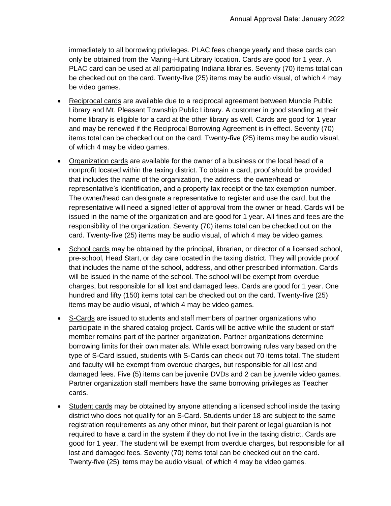immediately to all borrowing privileges. PLAC fees change yearly and these cards can only be obtained from the Maring-Hunt Library location. Cards are good for 1 year. A PLAC card can be used at all participating Indiana libraries. Seventy (70) items total can be checked out on the card. Twenty-five (25) items may be audio visual, of which 4 may be video games.

- Reciprocal cards are available due to a reciprocal agreement between Muncie Public Library and Mt. Pleasant Township Public Library. A customer in good standing at their home library is eligible for a card at the other library as well. Cards are good for 1 year and may be renewed if the Reciprocal Borrowing Agreement is in effect. Seventy (70) items total can be checked out on the card. Twenty-five (25) items may be audio visual, of which 4 may be video games.
- Organization cards are available for the owner of a business or the local head of a nonprofit located within the taxing district. To obtain a card, proof should be provided that includes the name of the organization, the address, the owner/head or representative's identification, and a property tax receipt or the tax exemption number. The owner/head can designate a representative to register and use the card, but the representative will need a signed letter of approval from the owner or head. Cards will be issued in the name of the organization and are good for 1 year. All fines and fees are the responsibility of the organization. Seventy (70) items total can be checked out on the card. Twenty-five (25) items may be audio visual, of which 4 may be video games.
- School cards may be obtained by the principal, librarian, or director of a licensed school, pre-school, Head Start, or day care located in the taxing district. They will provide proof that includes the name of the school, address, and other prescribed information. Cards will be issued in the name of the school. The school will be exempt from overdue charges, but responsible for all lost and damaged fees. Cards are good for 1 year. One hundred and fifty (150) items total can be checked out on the card. Twenty-five (25) items may be audio visual, of which 4 may be video games.
- S-Cards are issued to students and staff members of partner organizations who participate in the shared catalog project. Cards will be active while the student or staff member remains part of the partner organization. Partner organizations determine borrowing limits for their own materials. While exact borrowing rules vary based on the type of S-Card issued, students with S-Cards can check out 70 items total. The student and faculty will be exempt from overdue charges, but responsible for all lost and damaged fees. Five (5) items can be juvenile DVDs and 2 can be juvenile video games. Partner organization staff members have the same borrowing privileges as Teacher cards.
- Student cards may be obtained by anyone attending a licensed school inside the taxing district who does not qualify for an S-Card. Students under 18 are subject to the same registration requirements as any other minor, but their parent or legal guardian is not required to have a card in the system if they do not live in the taxing district. Cards are good for 1 year. The student will be exempt from overdue charges, but responsible for all lost and damaged fees. Seventy (70) items total can be checked out on the card. Twenty-five (25) items may be audio visual, of which 4 may be video games.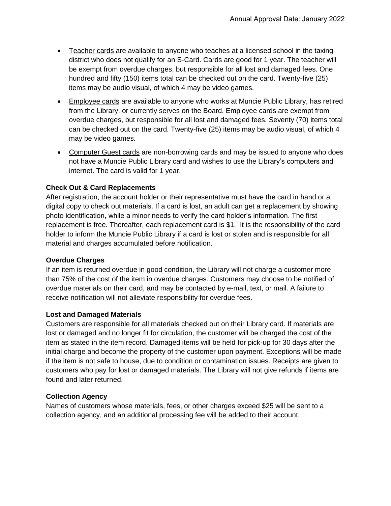- Teacher cards are available to anyone who teaches at a licensed school in the taxing district who does not qualify for an S-Card. Cards are good for 1 year. The teacher will be exempt from overdue charges, but responsible for all lost and damaged fees. One hundred and fifty (150) items total can be checked out on the card. Twenty-five (25) items may be audio visual, of which 4 may be video games.
- Employee cards are available to anyone who works at Muncie Public Library, has retired from the Library, or currently serves on the Board. Employee cards are exempt from overdue charges, but responsible for all lost and damaged fees. Seventy (70) items total can be checked out on the card. Twenty-five (25) items may be audio visual, of which 4 may be video games.
- Computer Guest cards are non-borrowing cards and may be issued to anyone who does not have a Muncie Public Library card and wishes to use the Library's computers and internet. The card is valid for 1 year.

# **Check Out & Card Replacements**

After registration, the account holder or their representative must have the card in hand or a digital copy to check out materials. If a card is lost, an adult can get a replacement by showing photo identification, while a minor needs to verify the card holder's information. The first replacement is free. Thereafter, each replacement card is \$1. It is the responsibility of the card holder to inform the Muncie Public Library if a card is lost or stolen and is responsible for all material and charges accumulated before notification.

## **Overdue Charges**

If an item is returned overdue in good condition, the Library will not charge a customer more than 75% of the cost of the item in overdue charges. Customers may choose to be notified of overdue materials on their card, and may be contacted by e-mail, text, or mail. A failure to receive notification will not alleviate responsibility for overdue fees.

## **Lost and Damaged Materials**

Customers are responsible for all materials checked out on their Library card. If materials are lost or damaged and no longer fit for circulation, the customer will be charged the cost of the item as stated in the item record. Damaged items will be held for pick-up for 30 days after the initial charge and become the property of the customer upon payment. Exceptions will be made if the item is not safe to house, due to condition or contamination issues. Receipts are given to customers who pay for lost or damaged materials. The Library will not give refunds if items are found and later returned.

## **Collection Agency**

Names of customers whose materials, fees, or other charges exceed \$25 will be sent to a collection agency, and an additional processing fee will be added to their account.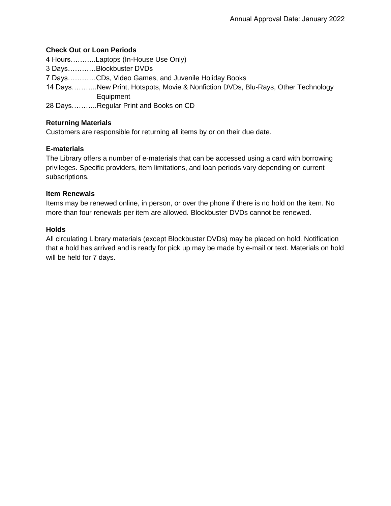### **Check Out or Loan Periods**

4 Hours………..Laptops (In-House Use Only) 3 Days…………Blockbuster DVDs 7 Days…………CDs, Video Games, and Juvenile Holiday Books 14 Days………..New Print, Hotspots, Movie & Nonfiction DVDs, Blu-Rays, Other Technology Equipment 28 Days………..Regular Print and Books on CD

### **Returning Materials**

Customers are responsible for returning all items by or on their due date.

#### **E-materials**

The Library offers a number of e-materials that can be accessed using a card with borrowing privileges. Specific providers, item limitations, and loan periods vary depending on current subscriptions.

#### **Item Renewals**

Items may be renewed online, in person, or over the phone if there is no hold on the item. No more than four renewals per item are allowed. Blockbuster DVDs cannot be renewed.

#### **Holds**

All circulating Library materials (except Blockbuster DVDs) may be placed on hold. Notification that a hold has arrived and is ready for pick up may be made by e-mail or text. Materials on hold will be held for 7 days.